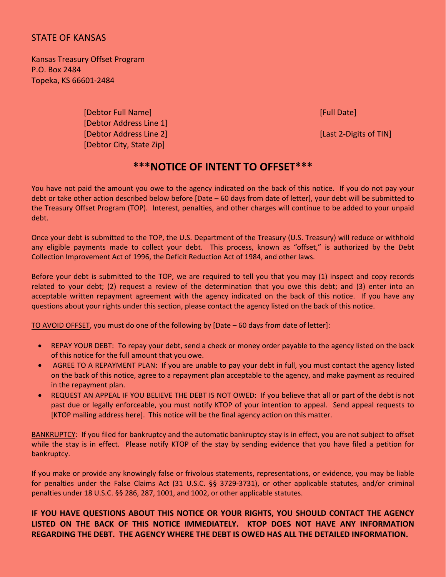## STATE OF KANSAS

Kansas Treasury Offset Program P.O. Box 2484 Topeka, KS 66601‐2484

> [Debtor Full Name] [Full Date] [Debtor Address Line 1] [Debtor Address Line 2] [Last 2‐Digits of TIN] [Debtor City, State Zip]

## **\*\*\*NOTICE OF INTENT TO OFFSET\*\*\***

You have not paid the amount you owe to the agency indicated on the back of this notice. If you do not pay your debt or take other action described below before [Date – 60 days from date of letter], your debt will be submitted to the Treasury Offset Program (TOP). Interest, penalties, and other charges will continue to be added to your unpaid debt.

Once your debt is submitted to the TOP, the U.S. Department of the Treasury (U.S. Treasury) will reduce or withhold any eligible payments made to collect your debt. This process, known as "offset," is authorized by the Debt Collection Improvement Act of 1996, the Deficit Reduction Act of 1984, and other laws.

Before your debt is submitted to the TOP, we are required to tell you that you may (1) inspect and copy records related to your debt; (2) request a review of the determination that you owe this debt; and (3) enter into an acceptable written repayment agreement with the agency indicated on the back of this notice. If you have any questions about your rights under this section, please contact the agency listed on the back of this notice.

TO AVOID OFFSET, you must do one of the following by [Date – 60 days from date of letter]:

- REPAY YOUR DEBT: To repay your debt, send a check or money order payable to the agency listed on the back of this notice for the full amount that you owe.
- AGREE TO A REPAYMENT PLAN: If you are unable to pay your debt in full, you must contact the agency listed on the back of this notice, agree to a repayment plan acceptable to the agency, and make payment as required in the repayment plan.
- REQUEST AN APPEAL IF YOU BELIEVE THE DEBT IS NOT OWED: If you believe that all or part of the debt is not past due or legally enforceable, you must notify KTOP of your intention to appeal. Send appeal requests to [KTOP mailing address here]. This notice will be the final agency action on this matter.

BANKRUPTCY: If you filed for bankruptcy and the automatic bankruptcy stay is in effect, you are not subject to offset while the stay is in effect. Please notify KTOP of the stay by sending evidence that you have filed a petition for bankruptcy.

If you make or provide any knowingly false or frivolous statements, representations, or evidence, you may be liable for penalties under the False Claims Act (31 U.S.C. §§ 3729‐3731), or other applicable statutes, and/or criminal penalties under 18 U.S.C. §§ 286, 287, 1001, and 1002, or other applicable statutes.

## **IF YOU HAVE QUESTIONS ABOUT THIS NOTICE OR YOUR RIGHTS, YOU SHOULD CONTACT THE AGENCY LISTED ON THE BACK OF THIS NOTICE IMMEDIATELY. KTOP DOES NOT HAVE ANY INFORMATION REGARDING THE DEBT. THE AGENCY WHERE THE DEBT IS OWED HAS ALL THE DETAILED INFORMATION.**